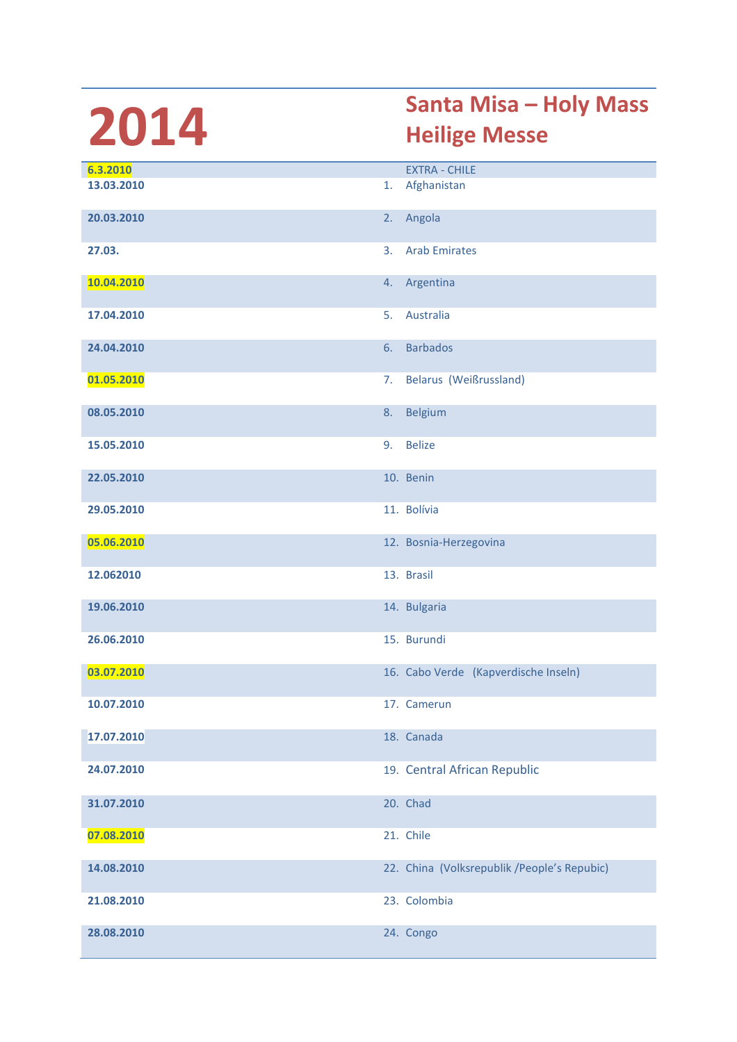## 2014 Santa Misa – Holy Mass<br>Heilige Messe Heilige Messe

| 6.3.2010   |    | <b>EXTRA - CHILE</b>                         |
|------------|----|----------------------------------------------|
| 13.03.2010 | 1. | Afghanistan                                  |
|            |    |                                              |
| 20.03.2010 | 2. | Angola                                       |
|            |    |                                              |
| 27.03.     | 3. | <b>Arab Emirates</b>                         |
|            |    |                                              |
| 10.04.2010 | 4. | Argentina                                    |
|            |    |                                              |
| 17.04.2010 | 5. | Australia                                    |
|            |    |                                              |
| 24.04.2010 | 6. | <b>Barbados</b>                              |
|            |    |                                              |
| 01.05.2010 | 7. | Belarus (Weißrussland)                       |
|            |    |                                              |
| 08.05.2010 | 8. | <b>Belgium</b>                               |
| 15.05.2010 | 9. | <b>Belize</b>                                |
|            |    |                                              |
| 22.05.2010 |    | 10. Benin                                    |
|            |    |                                              |
| 29.05.2010 |    | 11. Bolívia                                  |
|            |    |                                              |
| 05.06.2010 |    | 12. Bosnia-Herzegovina                       |
|            |    |                                              |
| 12.062010  |    | 13. Brasil                                   |
|            |    |                                              |
| 19.06.2010 |    | 14. Bulgaria                                 |
|            |    |                                              |
| 26.06.2010 |    | 15. Burundi                                  |
|            |    |                                              |
| 03.07.2010 |    | 16. Cabo Verde (Kapverdische Inseln)         |
|            |    | 17. Camerun                                  |
| 10.07.2010 |    |                                              |
| 17.07.2010 |    | 18. Canada                                   |
|            |    |                                              |
| 24.07.2010 |    | 19. Central African Republic                 |
|            |    |                                              |
| 31.07.2010 |    | 20. Chad                                     |
|            |    |                                              |
| 07.08.2010 |    | 21. Chile                                    |
|            |    |                                              |
| 14.08.2010 |    | 22. China (Volksrepublik / People's Repubic) |
|            |    |                                              |
| 21.08.2010 |    | 23. Colombia                                 |
|            |    |                                              |
| 28.08.2010 |    | 24. Congo                                    |
|            |    |                                              |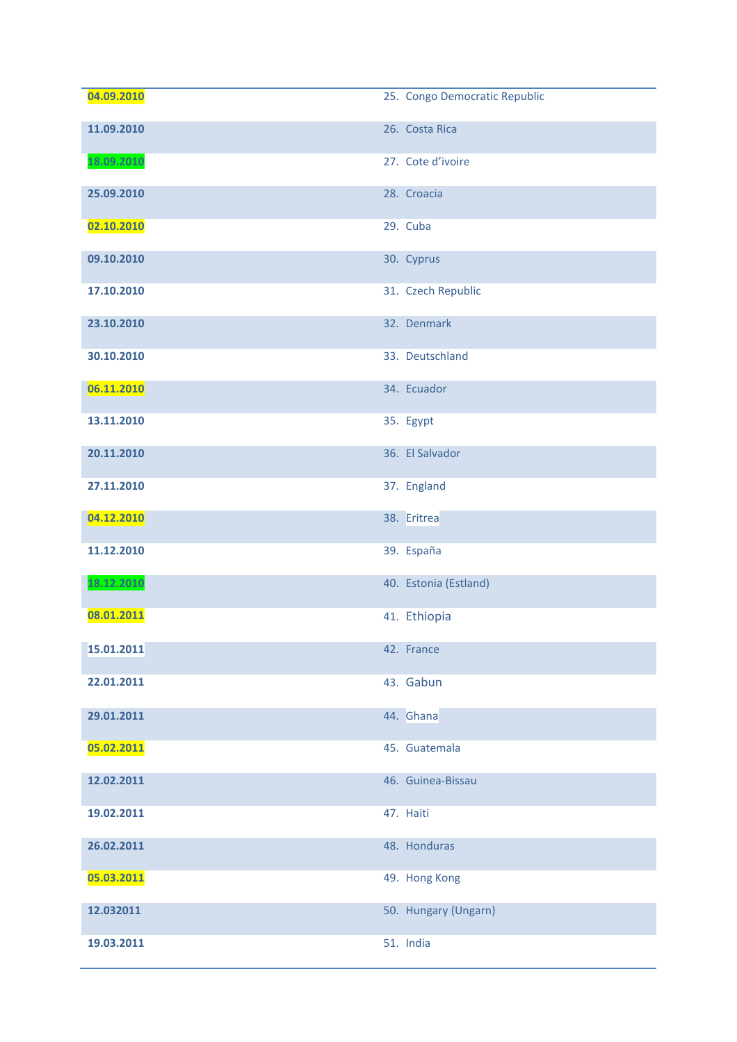| 04.09.2010 | 25. Congo Democratic Republic |
|------------|-------------------------------|
| 11.09.2010 | 26. Costa Rica                |
| 18.09.2010 | 27. Cote d'ivoire             |
| 25.09.2010 | 28. Croacia                   |
| 02.10.2010 | 29. Cuba                      |
| 09.10.2010 | 30. Cyprus                    |
| 17.10.2010 | 31. Czech Republic            |
| 23.10.2010 | 32. Denmark                   |
| 30.10.2010 | 33. Deutschland               |
| 06.11.2010 | 34. Ecuador                   |
| 13.11.2010 | 35. Egypt                     |
| 20.11.2010 | 36. El Salvador               |
| 27.11.2010 | 37. England                   |
| 04.12.2010 | 38. Eritrea                   |
| 11.12.2010 | 39. España                    |
| 18.12.2010 | 40. Estonia (Estland)         |
| 08.01.2011 | 41. Ethiopia                  |
| 15.01.2011 | 42. France                    |
| 22.01.2011 | 43. Gabun                     |
| 29.01.2011 | 44. Ghana                     |
| 05.02.2011 | 45. Guatemala                 |
| 12.02.2011 | 46. Guinea-Bissau             |
| 19.02.2011 | 47. Haiti                     |
| 26.02.2011 | 48. Honduras                  |
| 05.03.2011 | 49. Hong Kong                 |
| 12.032011  | 50. Hungary (Ungarn)          |
| 19.03.2011 | 51. India                     |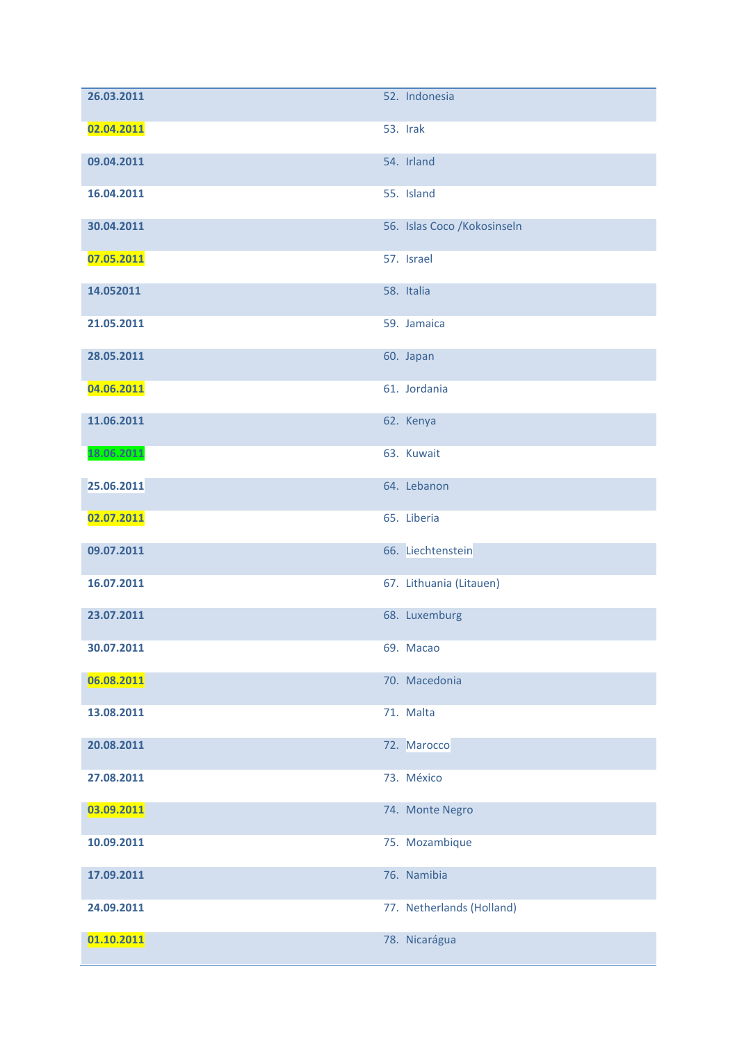| 26.03.2011 | 52. Indonesia                |
|------------|------------------------------|
| 02.04.2011 | 53. Irak                     |
| 09.04.2011 | 54. Irland                   |
| 16.04.2011 | 55. Island                   |
| 30.04.2011 | 56. Islas Coco / Kokosinseln |
| 07.05.2011 | 57. Israel                   |
| 14.052011  | 58. Italia                   |
| 21.05.2011 | 59. Jamaica                  |
| 28.05.2011 | 60. Japan                    |
| 04.06.2011 | 61. Jordania                 |
| 11.06.2011 | 62. Kenya                    |
| 18.06.2011 | 63. Kuwait                   |
| 25.06.2011 | 64. Lebanon                  |
| 02.07.2011 | 65. Liberia                  |
| 09.07.2011 | 66. Liechtenstein            |
| 16.07.2011 | 67. Lithuania (Litauen)      |
| 23.07.2011 | 68. Luxemburg                |
| 30.07.2011 | 69. Macao                    |
| 06.08.2011 | 70. Macedonia                |
| 13.08.2011 | 71. Malta                    |
| 20.08.2011 | 72. Marocco                  |
| 27.08.2011 | 73. México                   |
| 03.09.2011 | 74. Monte Negro              |
| 10.09.2011 | 75. Mozambique               |
| 17.09.2011 | 76. Namibia                  |
| 24.09.2011 | 77. Netherlands (Holland)    |
| 01.10.2011 | 78. Nicarágua                |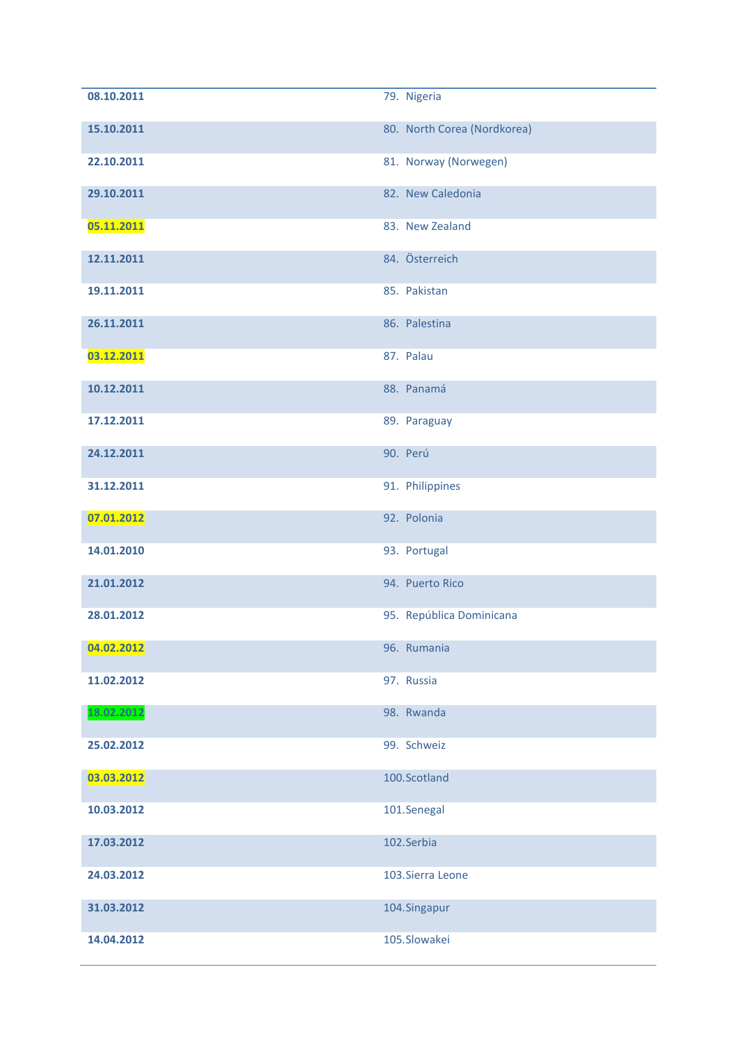| 08.10.2011 | 79. Nigeria                 |
|------------|-----------------------------|
| 15.10.2011 | 80. North Corea (Nordkorea) |
| 22.10.2011 | 81. Norway (Norwegen)       |
| 29.10.2011 | 82. New Caledonia           |
| 05.11.2011 | 83. New Zealand             |
| 12.11.2011 | 84. Österreich              |
| 19.11.2011 | 85. Pakistan                |
| 26.11.2011 | 86. Palestina               |
| 03.12.2011 | 87. Palau                   |
| 10.12.2011 | 88. Panamá                  |
| 17.12.2011 | 89. Paraguay                |
| 24.12.2011 | 90. Perú                    |
| 31.12.2011 | 91. Philippines             |
| 07.01.2012 | 92. Polonia                 |
| 14.01.2010 | 93. Portugal                |
| 21.01.2012 | 94. Puerto Rico             |
| 28.01.2012 | 95. República Dominicana    |
| 04.02.2012 | 96. Rumania                 |
| 11.02.2012 | 97. Russia                  |
| 18.02.2012 | 98. Rwanda                  |
| 25.02.2012 | 99. Schweiz                 |
| 03.03.2012 | 100.Scotland                |
| 10.03.2012 | 101.Senegal                 |
| 17.03.2012 | 102.Serbia                  |
| 24.03.2012 | 103. Sierra Leone           |
| 31.03.2012 | 104.Singapur                |
| 14.04.2012 | 105.Slowakei                |